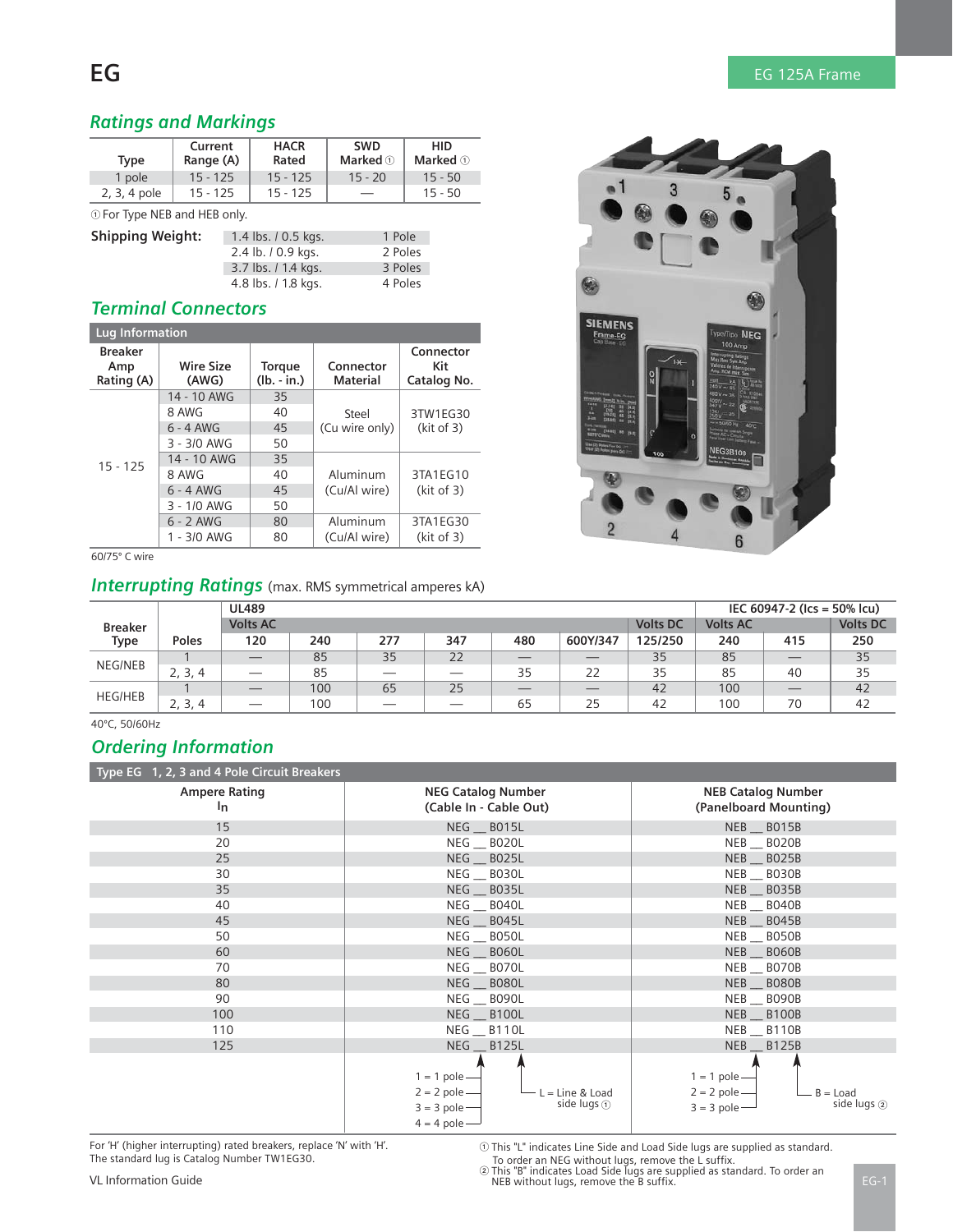# **EG** EG 125A Frame

# *Ratings and Markings*

| Type         | Current<br>Range (A) | <b>HACR</b><br>Rated | <b>SWD</b><br>Marked $\circledcirc$ | <b>HID</b><br><b>Marked</b> ① |
|--------------|----------------------|----------------------|-------------------------------------|-------------------------------|
| 1 pole       | $15 - 125$           | $15 - 125$           | $15 - 20$                           | $15 - 50$                     |
| 2, 3, 4 pole | $15 - 125$           | $15 - 125$           |                                     | $15 - 50$                     |
|              | $\cdots$             |                      |                                     |                               |

For Type NEB and HEB only.

| <b>Shipping Weight:</b> | 1.4 lbs. / 0.5 kgs. | 1 Pole  |
|-------------------------|---------------------|---------|
|                         | 2.4 lb. / 0.9 kgs.  | 2 Poles |
|                         | 3.7 lbs. / 1.4 kgs. | 3 Poles |
|                         | 4.8 lbs. / 1.8 kgs. | 4 Poles |

### *Terminal Connectors*

| Lug Information                     |                           |                                |                       |                                 |  |
|-------------------------------------|---------------------------|--------------------------------|-----------------------|---------------------------------|--|
| <b>Breaker</b><br>Amp<br>Rating (A) | <b>Wire Size</b><br>(AWG) | <b>Torque</b><br>$(lb. - in.)$ | Connector<br>Material | Connector<br>Kit<br>Catalog No. |  |
|                                     | 14 - 10 AWG               | 35                             |                       |                                 |  |
|                                     | 8 AWG                     | 40                             | Steel                 | 3TW1EG30                        |  |
|                                     | $6 - 4$ AWG               | 45                             | (Cu wire only)        | (kit of 3)                      |  |
|                                     | 3 - 3/0 AWG               | 50                             |                       |                                 |  |
| $15 - 125$                          | 14 - 10 AWG               | 35                             |                       |                                 |  |
|                                     | 8 AWG                     | 40                             | Aluminum              | 3TA1EG10                        |  |
|                                     | $6 - 4$ AWG               | 45                             | (Cu/Al wire)          | (kit of 3)                      |  |
|                                     | 3 - 1/0 AWG               | 50                             |                       |                                 |  |
|                                     | $6 - 2$ AWG               | 80                             | Aluminum              | 3TA1EG30                        |  |
|                                     | $1 - 3/0$ AWG             | 80                             | (Cu/Al wire)          | (kit of 3)                      |  |

60/75º C wire

# *Interrupting Ratings* (max. RMS symmetrical amperes kA)

|                |         | <b>UL489</b>             |     |                          |                          |                          |          |                 |                 | IEC 60947-2 (Ics = 50% Icu) |                 |
|----------------|---------|--------------------------|-----|--------------------------|--------------------------|--------------------------|----------|-----------------|-----------------|-----------------------------|-----------------|
| <b>Breaker</b> |         | <b>Volts AC</b>          |     |                          |                          |                          |          | <b>Volts DC</b> | <b>Volts AC</b> |                             | <b>Volts DC</b> |
| Type           | Poles   | 120                      | 240 | 277                      | 347                      | 480                      | 600Y/347 | 125/250         | 240             | 415                         | 250             |
| NEG/NEB        |         |                          | 85  | 35                       | 22                       |                          | __       | 35              | 85              |                             | 35              |
|                | 2, 3, 4 |                          | 85  | $\overline{\phantom{a}}$ | $\overline{\phantom{a}}$ | 35                       | 22       | 35              | 85              | 40                          | 35              |
| <b>HEG/HEB</b> |         | $\overline{\phantom{a}}$ | 100 | 65                       | 25                       | $\overline{\phantom{a}}$ | $-$      | 42              | 100             | $-$                         | 42              |
|                | 2, 3, 4 | $\overline{\phantom{a}}$ | 100 | $\overline{\phantom{a}}$ | $\overline{\phantom{a}}$ | 65                       | 25       | 42              | 100             | 70                          | 42              |

40ºC, 50/60Hz

## *Ordering Information*

| Type EG 1, 2, 3 and 4 Pole Circuit Breakers |                                                                                                                                         |                                                                                     |
|---------------------------------------------|-----------------------------------------------------------------------------------------------------------------------------------------|-------------------------------------------------------------------------------------|
| <b>Ampere Rating</b><br>$\mathsf{I}_{n}$    | <b>NEG Catalog Number</b><br>(Cable In - Cable Out)                                                                                     | <b>NEB Catalog Number</b><br>(Panelboard Mounting)                                  |
| 15                                          | NEG B015L                                                                                                                               | NEB B015B                                                                           |
| 20                                          | NEG BO2OL                                                                                                                               | NEB __ BO2OB                                                                        |
| 25                                          | NEG B025L                                                                                                                               | NEB B025B                                                                           |
| 30                                          | NEG B030L                                                                                                                               | NEB B030B                                                                           |
| 35                                          | NEG B035L                                                                                                                               | NEB B035B                                                                           |
| 40                                          | NEG B040L                                                                                                                               | NEB __ BO4OB                                                                        |
| 45                                          | NEG B045L                                                                                                                               | NEB B045B                                                                           |
| 50                                          | <b>NEG __ BO5OL</b>                                                                                                                     | NEB B050B                                                                           |
| 60                                          | NEG B060L                                                                                                                               | NEB B060B                                                                           |
| 70                                          | NEG B070L                                                                                                                               | NEB B070B                                                                           |
| 80                                          | NEG B080L                                                                                                                               | NEB B080B                                                                           |
| 90                                          | NEG B090L                                                                                                                               | NEB __ B090B                                                                        |
| 100                                         | NEG B100L                                                                                                                               | NEB B100B                                                                           |
| 110                                         | NEG B110L                                                                                                                               | NEB __ B110B                                                                        |
| 125                                         | NEG B125L                                                                                                                               | NEB B125B                                                                           |
|                                             | $1 = 1$ pole $-$<br>$2 = 2$ pole -<br>L = Line & Load<br>side lugs $\textcircled{\scriptsize{1}}$<br>$3 = 3$ pole -<br>$4 = 4$ pole $-$ | $1 = 1$ pole -<br>$2 = 2$ pole —<br>$B =$ Load<br>side lugs $(2)$<br>$3 = 3$ pole — |

For 'H' (higher interrupting) rated breakers, replace 'N' with 'H'. The standard lug is Catalog Number TW1EG30.

 $\odot$  This "L" indicates Line Side and Load Side lugs are supplied as standard.

To order an NEG without lugs, remove the L suffix. - This "B" indicates Load Side lugs are supplied as standard. To order an VL Information Guide NEB without lugs, remove the B suffix.